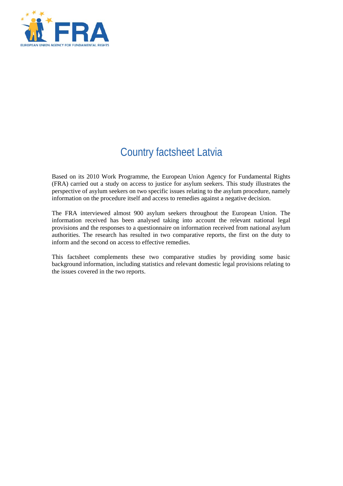

# Country factsheet Latvia

Based on its 2010 Work Programme, the European Union Agency for Fundamental Rights (FRA) carried out a study on access to justice for asylum seekers. This study illustrates the perspective of asylum seekers on two specific issues relating to the asylum procedure, namely information on the procedure itself and access to remedies against a negative decision.

The FRA interviewed almost 900 asylum seekers throughout the European Union. The information received has been analysed taking into account the relevant national legal provisions and the responses to a questionnaire on information received from national asylum authorities. The research has resulted in two comparative reports, the first on the duty to inform and the second on access to effective remedies.

This factsheet complements these two comparative studies by providing some basic background information, including statistics and relevant domestic legal provisions relating to the issues covered in the two reports.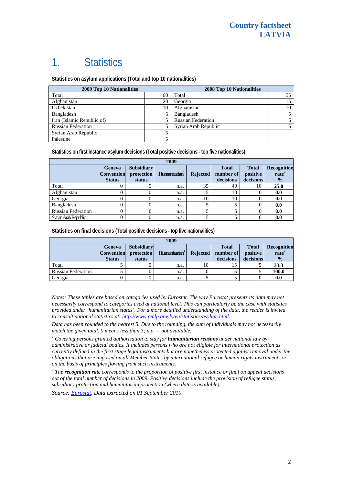# 1. Statistics

**Statistics on asylum applications (Total and top 10 nationalities)**

| <b>2009 Top 10 Nationalities</b> |    | 2008 Top 10 Nationalities |    |  |
|----------------------------------|----|---------------------------|----|--|
| Total                            | 60 | Total                     | 55 |  |
| Afghanistan                      | 20 | Georgia                   |    |  |
| Uzbekistan                       | 10 | Afghanistan               | 10 |  |
| Bangladesh                       |    | Bangladesh                |    |  |
| Iran (Islamic Republic of)       |    | <b>Russian Federation</b> |    |  |
| <b>Russian Federation</b>        |    | Syrian Arab Republic      |    |  |
| Syrian Arab Republic             |    |                           |    |  |
| Palestine                        |    |                           |    |  |

**Statistics on first instance asylum decisions (Total positive decisions - top five nationalities)** 

| 2009                      |                   |                   |                           |                 |              |              |                   |
|---------------------------|-------------------|-------------------|---------------------------|-----------------|--------------|--------------|-------------------|
|                           | <b>Geneva</b>     | <b>Subsidiary</b> |                           |                 | <b>Total</b> | <b>Total</b> | Recognition       |
|                           | <b>Convention</b> | protection        | Humanitarian <sup>1</sup> | <b>Rejected</b> | number of    | positive     | rate <sup>2</sup> |
|                           | <b>Status</b>     | status            |                           |                 | decisions    | decisions    | $\frac{1}{2}$     |
| Total                     |                   |                   | n.a.                      | 35              | 40           | 10           | 25.0              |
| Afghanistan               |                   |                   | n.a.                      |                 | 10           |              | 0.0               |
| Georgia                   |                   |                   | n.a.                      | 10              | 10           |              | 0.0               |
| Bangladesh                | 0                 |                   | n.a.                      |                 |              |              | 0.0               |
| <b>Russian Federation</b> |                   |                   | n.a.                      |                 |              |              | 0.0               |
| Synan Arab Republic       |                   |                   | n.a.                      |                 |              |              | 0.0               |

**Statistics on final decisions (Total positive decisions - top five nationalities)** 

| 2009                      |                             |                                 |                           |                 |                           |                          |                                         |
|---------------------------|-----------------------------|---------------------------------|---------------------------|-----------------|---------------------------|--------------------------|-----------------------------------------|
|                           | Geneva<br><b>Convention</b> | <b>Subsidiary</b><br>protection | Humanitarian <sup>1</sup> | <b>Rejected</b> | <b>Total</b><br>number of | <b>Total</b><br>positive | <b>Recognition</b><br>rate <sup>2</sup> |
|                           | <b>Status</b>               | status                          |                           |                 | decisions                 | decisions                | $\frac{0}{0}$                           |
| Total                     |                             |                                 | n.a.                      | 10              |                           |                          | 33.3                                    |
| <b>Russian Federation</b> |                             |                                 | n.a.                      |                 |                           |                          | 100.0                                   |
| Georgia                   |                             |                                 | n.a.                      |                 |                           |                          | 0.0                                     |

*Notes: These tables are based on categories used by Eurostat. The way Eurostat presents its data may not necessarily correspond to categories used at national level. This can particularly be the case with statistics provided under 'humanitarian status'. For a more detailed understanding of the data, the reader is invited to consult national statistics at:<http://www.pmlp.gov.lv/en/statistics/asylum.html>.* 

*Data has been rounded to the nearest 5. Due to the rounding, the sum of individuals may not necessarily match the given total. 0 means less than 3; n.a. = not available.* 

<sup>1</sup> Covering persons granted authorisation to stay for **humanitarian reasons** under national law by *administrative or judicial bodies. It includes persons who are not eligible for international protection as currently defined in the first stage legal instruments but are nonetheless protected against removal under the obligations that are imposed on all Member States by international refugee or human rights instruments or on the basis of principles flowing from such instruments.* 

*2 The recognition rate corresponds to the proportion of positive first instance or final on appeal decisions out of the total number of decisions in 2009. Positive decisions include the provision of refugee status, subsidiary protection and humanitarian protection (where data is available).* 

*Source: [Eurostat](http://epp.eurostat.ec.europa.eu/), Data extracted on 01 September 2010.*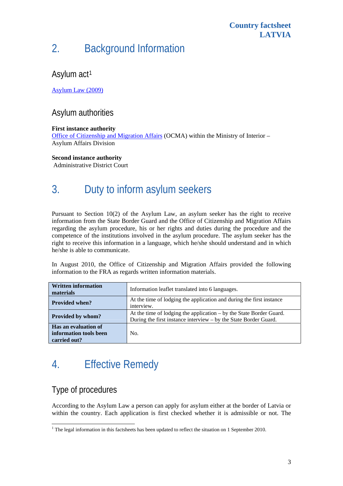#### **Country factsheet LATVIA**

# 2. Background Information

### Asylum act<sup>[1](#page-2-0)</sup>

[Asylum Law \(2009\)](http://www.unhcr.org/refworld/docid/4c6bcb269.html)

### Asylum authorities

#### **First instance authority**

[Office of Citizenship and Migration Affairs](http://www.pmlp.gov.lv/) (OCMA) within the Ministry of Interior – Asylum Affairs Division

#### **Second instance authority**

Administrative District Court

# 3. Duty to inform asylum seekers

Pursuant to Section 10(2) of the Asylum Law, an asylum seeker has the right to receive information from the State Border Guard and the Office of Citizenship and Migration Affairs regarding the asylum procedure, his or her rights and duties during the procedure and the competence of the institutions involved in the asylum procedure. The asylum seeker has the right to receive this information in a language, which he/she should understand and in which he/she is able to communicate.

In August 2010, the Office of Citizenship and Migration Affairs provided the following information to the FRA as regards written information materials.

| <b>Written information</b><br>materials                        | Information leaflet translated into 6 languages.                                                                                        |
|----------------------------------------------------------------|-----------------------------------------------------------------------------------------------------------------------------------------|
| <b>Provided when?</b>                                          | At the time of lodging the application and during the first instance<br>interview.                                                      |
| Provided by whom?                                              | At the time of lodging the application – by the State Border Guard.<br>During the first instance interview – by the State Border Guard. |
| Has an evaluation of<br>information tools been<br>carried out? | No.                                                                                                                                     |

# 4. Effective Remedy

# Type of procedures

According to the Asylum Law a person can apply for asylum either at the border of Latvia or within the country. Each application is first checked whether it is admissible or not. The

<span id="page-2-0"></span><sup>1</sup>  $1$ <sup>1</sup> The legal information in this factsheets has been updated to reflect the situation on 1 September 2010.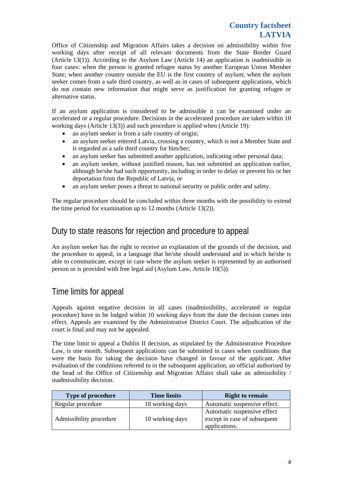Office of Citizenship and Migration Affairs takes a decision on admissibility within five working days after receipt of all relevant documents from the State Border Guard (Article 13(1)). According to the Asylum Law (Article 14) an application is inadmissible in four cases: when the person is granted refugee status by another European Union Member State; when another country outside the EU is the first country of asylum; when the asylum seeker comes from a safe third country, as well as in cases of subsequent applications, which do not contain new information that might serve as justification for granting refugee or alternative status.

If an asylum application is considered to be admissible it can be examined under an accelerated or a regular procedure. Decisions in the accelerated procedure are taken within 10 working days (Article 13(3)) and such procedure is applied when (Article 19):

- an asylum seeker is from a safe country of origin;
- an asylum seeker entered Latvia, crossing a country, which is not a Member State and is regarded as a safe third country for him/her;
- an asylum seeker has submitted another application, indicating other personal data;
- an asylum seeker, without justified reason, has not submitted an application earlier, although he/she had such opportunity, including in order to delay or prevent his or her deportation from the Republic of Latvia, or
- an asylum seeker poses a threat to national security or public order and safety.

The regular procedure should be concluded within three months with the possibility to extend the time period for examination up to 12 months (Article 13(2)).

### Duty to state reasons for rejection and procedure to appeal

An asylum seeker has the right to receive an explanation of the grounds of the decision, and the procedure to appeal, in a language that he/she should understand and in which he/she is able to communicate, except in case where the asylum seeker is represented by an authorised person or is provided with free legal aid (Asylum Law, Article 10(5)).

### Time limits for appeal

Appeals against negative decision in all cases (inadmissibility, accelerated or regular procedure) have to be lodged within 10 working days from the date the decision comes into effect. Appeals are examined by the Administrative District Court. The adjudication of the court is final and may not be appealed.

The time limit to appeal a Dublin II decision, as stipulated by the Administrative Procedure Law, is one month. Subsequent applications can be submitted in cases when conditions that were the basis for taking the decision have changed in favour of the applicant. After evaluation of the conditions referred to in the subsequent application, an official authorised by the head of the Office of Citizenship and Migration Affairs shall take an admissibility / inadmissibility decision.

| <b>Type of procedure</b> | <b>Time limits</b> | <b>Right to remain</b>                                                       |  |  |
|--------------------------|--------------------|------------------------------------------------------------------------------|--|--|
| Regular procedure        | 10 working days    | Automatic suspensive effect.                                                 |  |  |
| Admissibility procedure  | 10 working days    | Automatic suspensive effect<br>except in case of subsequent<br>applications. |  |  |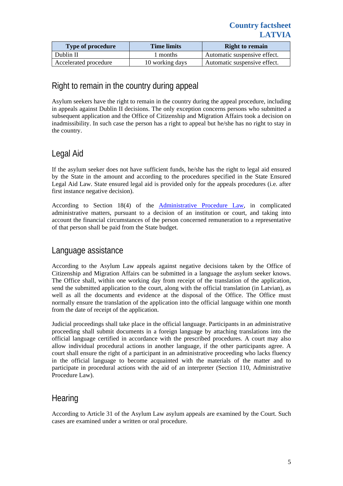| <b>Type of procedure</b> | <b>Time limits</b> | <b>Right to remain</b>       |  |
|--------------------------|--------------------|------------------------------|--|
| Dublin II                | l months           | Automatic suspensive effect. |  |
| Accelerated procedure    | 10 working days    | Automatic suspensive effect. |  |

### Right to remain in the country during appeal

Asylum seekers have the right to remain in the country during the appeal procedure, including in appeals against Dublin II decisions. The only exception concerns persons who submitted a subsequent application and the Office of Citizenship and Migration Affairs took a decision on inadmissibility. In such case the person has a right to appeal but he/she has no right to stay in the country.

# Legal Aid

If the asylum seeker does not have sufficient funds, he/she has the right to legal aid ensured by the State in the amount and according to the procedures specified in the State Ensured Legal Aid Law. State ensured legal aid is provided only for the appeals procedures (i.e. after first instance negative decision).

According to Section 18(4) of the [Administrative Procedure Law](http://unpan1.un.org/intradoc/groups/public/documents/UNTC/UNPAN018406.pdf), in complicated administrative matters, pursuant to a decision of an institution or court, and taking into account the financial circumstances of the person concerned remuneration to a representative of that person shall be paid from the State budget.

# Language assistance

According to the Asylum Law appeals against negative decisions taken by the Office of Citizenship and Migration Affairs can be submitted in a language the asylum seeker knows. The Office shall, within one working day from receipt of the translation of the application, send the submitted application to the court, along with the official translation (in Latvian), as well as all the documents and evidence at the disposal of the Office. The Office must normally ensure the translation of the application into the official language within one month from the date of receipt of the application.

Judicial proceedings shall take place in the official language. Participants in an administrative proceeding shall submit documents in a foreign language by attaching translations into the official language certified in accordance with the prescribed procedures. A court may also allow individual procedural actions in another language, if the other participants agree. A court shall ensure the right of a participant in an administrative proceeding who lacks fluency in the official language to become acquainted with the materials of the matter and to participate in procedural actions with the aid of an interpreter (Section 110, Administrative Procedure Law).

### **Hearing**

According to Article 31 of the Asylum Law asylum appeals are examined by the Court. Such cases are examined under a written or oral procedure.